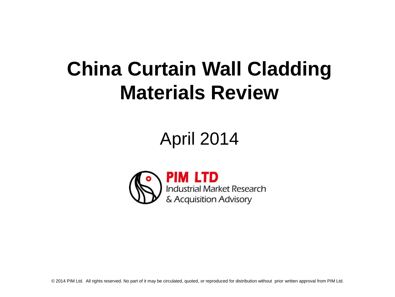# **China Curtain Wall Cladding Materials Review**

## April 2014

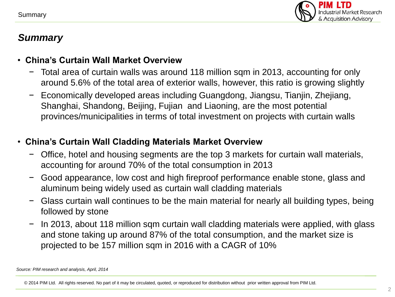

#### *Summary*

#### • **China's Curtain Wall Market Overview**

- − Total area of curtain walls was around 118 million sqm in 2013, accounting for only around 5.6% of the total area of exterior walls, however, this ratio is growing slightly
- − Economically developed areas including Guangdong, Jiangsu, Tianjin, Zhejiang, Shanghai, Shandong, Beijing, Fujian and Liaoning, are the most potential provinces/municipalities in terms of total investment on projects with curtain walls

#### • **China's Curtain Wall Cladding Materials Market Overview**

- Office, hotel and housing segments are the top 3 markets for curtain wall materials, accounting for around 70% of the total consumption in 2013
- − Good appearance, low cost and high fireproof performance enable stone, glass and aluminum being widely used as curtain wall cladding materials
- − Glass curtain wall continues to be the main material for nearly all building types, being followed by stone
- − In 2013, about 118 million sqm curtain wall cladding materials were applied, with glass and stone taking up around 87% of the total consumption, and the market size is projected to be 157 million sqm in 2016 with a CAGR of 10%

*Source: PIM research and analysis, April, 2014*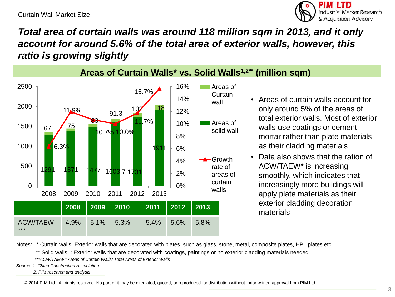

## *Total area of curtain walls was around 118 million sqm in 2013, and it only account for around 5.6% of the total area of exterior walls, however, this ratio is growing slightly*



- Areas of curtain walls account for only around 5% of the areas of total exterior walls. Most of exterior walls use coatings or cement mortar rather than plate materials as their cladding materials
- Data also shows that the ration of ACW/TAEW\* is increasing smoothly, which indicates that increasingly more buildings will apply plate materials as their exterior cladding decoration

Notes: \* Curtain walls: Exterior walls that are decorated with plates, such as glass, stone, metal, composite plates, HPL plates etc.

\*\* Solid walls: : Exterior walls that are decorated with coatings, paintings or no exterior cladding materials needed

 *\*\*\*ACW/TAEW= Areas of Curtain Walls/ Total Areas of Exterior Walls*

*Source: 1. China Construction Association*

 *2. PIM research and analysis*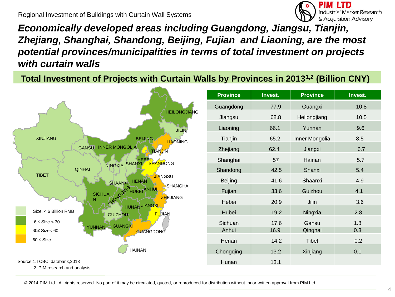Regional Investment of Buildings with Curtain Wall Systems



*Economically developed areas including Guangdong, Jiangsu, Tianjin, Zhejiang, Shanghai, Shandong, Beijing, Fujian and Liaoning, are the most potential provinces/municipalities in terms of total investment on projects with curtain walls*

**Total Investment of Projects with Curtain Walls by Provinces in 20131,2 (Billion CNY)**

|                                                                | <b>Province</b> | Invest. | <b>Province</b> | Invest. |
|----------------------------------------------------------------|-----------------|---------|-----------------|---------|
|                                                                | Guangdong       | 77.9    | Guangxi         | 10.8    |
| <b>HEILONGJIANG</b>                                            | Jiangsu         | 68.8    | Heilongjiang    | 10.5    |
| <b>JILIN</b>                                                   | Liaoning        | 66.1    | Yunnan          | 9.6     |
| <b>XINJIANG</b><br><b>BEIJING</b><br><b>LIAONING</b>           | Tianjin         | 65.2    | Inner Mongolia  | 8.5     |
| <b>INNER MONGOLIA</b><br><b>GANSU</b><br><b>TIANJIN</b>        | Zhejiang        | 62.4    | Jiangxi         | 6.7     |
| NINGXIA SHANXI SHANDONG                                        | Shanghai        | 57      | Hainan          | 5.7     |
| <b>QINHAI</b>                                                  | Shandong        | 42.5    | Shanxi          | 5.4     |
| <b>TIBET</b><br><b>JIANGSU</b><br>SHAANXI HENAN                | Beijing         | 41.6    | Shaanxi         | 4.9     |
| SHANGHAI<br>ANGON HUBER ANHUI<br><b>SICHUA</b>                 | Fujian          | 33.6    | Guizhou         | 4.1     |
| <b>ZHEJIANG</b><br>HUNAN JIANGXI                               | Hebei           | 20.9    | Jilin           | 3.6     |
| Size. < 6 Billion RMB<br><b>FUJIAN</b><br><b>GUIZHOU</b>       | Hubei           | 19.2    | Ningxia         | 2.8     |
| $6 \leq$ Size $\leq$ 30<br><b>GUANGXI</b><br>YUNNAN            | Sichuan         | 17.6    | Gansu           | 1.8     |
| $30 \leq$ Size< 60<br><b>GUANGDONG</b>                         | Anhui           | 16.9    | Qinghai         | 0.3     |
| $60 \leq$ Size                                                 | Henan           | 14.2    | Tibet           | 0.2     |
| <b>HAINAN</b>                                                  | Chongqing       | 13.2    | Xinjiang        | 0.1     |
| Source: 1.TCBCI databank, 2013<br>2. PIM research and analysis | Hunan           | 13.1    |                 |         |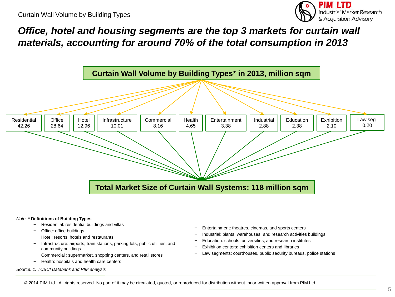

*Office, hotel and housing segments are the top 3 markets for curtain wall materials, accounting for around 70% of the total consumption in 2013*



#### *Note: \** **Definitions of Building Types**

- − Residential: residential buildings and villas
- − Office: office buildings
- − Hotel: resorts, hotels and restaurants
- Infrastructure: airports, train stations, parking lots, public utilities, and community buildings
- − Commercial : supermarket, shopping centers, and retail stores
- − Health: hospitals and health care centers

#### *Source: 1. TCBCI Databank and PIM analysis*

- Entertainment: theatres, cinemas, and sports centers
- − Industrial: plants, warehouses, and research activities buildings
- − Education: schools, universities, and research institutes
- Exhibition centers: exhibition centers and libraries
- Law segments: courthouses, public security bureaus, police stations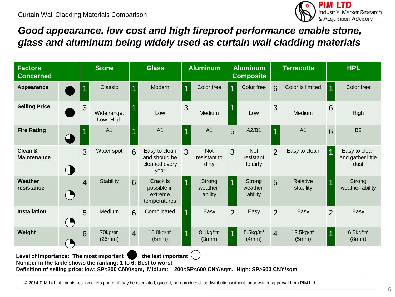

## *Good appearance, low cost and high fireproof performance enable stone, glass and aluminum being widely used as curtain wall cladding materials*

| <b>Factors</b><br><b>Concerned</b>                                                                                                                                                                                                                            |                |                | <b>Stone</b>            |                  | <b>Glass</b>                                            |                | <b>Aluminum</b>                     |                | <b>Aluminum</b><br><b>Composite</b> |                 | <b>Terracotta</b>        |                 | <b>HPL</b>                                 |
|---------------------------------------------------------------------------------------------------------------------------------------------------------------------------------------------------------------------------------------------------------------|----------------|----------------|-------------------------|------------------|---------------------------------------------------------|----------------|-------------------------------------|----------------|-------------------------------------|-----------------|--------------------------|-----------------|--------------------------------------------|
| <b>Appearance</b>                                                                                                                                                                                                                                             |                |                | Classic                 | $\overline{1}$   | Modern                                                  | $\overline{1}$ | Color free                          |                | Color free                          | $6\phantom{1}6$ | Color is limited         | $\overline{1}$  | Color free                                 |
| <b>Selling Price</b>                                                                                                                                                                                                                                          |                | 3              | Wide range,<br>Low-High |                  | Low                                                     | 3              | Medium                              |                | Low                                 | 3               | Medium                   | 6               | <b>High</b>                                |
| <b>Fire Rating</b>                                                                                                                                                                                                                                            |                |                | A <sub>1</sub>          |                  | A <sub>1</sub>                                          | $\overline{1}$ | A <sub>1</sub>                      | 5              | A2/B1                               | $\vert$ 1       | A <sub>1</sub>           | $6\overline{6}$ | <b>B2</b>                                  |
| Clean &<br><b>Maintenance</b>                                                                                                                                                                                                                                 |                | 3              | Water spot              | 6                | Easy to clean<br>and should be<br>cleaned every<br>year | $\mathcal{R}$  | <b>Not</b><br>resistant to<br>dirty | 3              | <b>Not</b><br>resistant<br>to dirty | $\overline{2}$  | Easy to clean            |                 | Easy to clean<br>and gather little<br>dust |
| Weather<br>resistance                                                                                                                                                                                                                                         | $\blacksquare$ | $\overline{4}$ | <b>Stability</b>        | $6 \overline{6}$ | Crack is<br>possible in<br>extreme<br>temperatures      |                | Strong<br>weather-<br>ability       |                | Strong<br>weather-<br>ability       | 5               | Relative<br>stability    |                 | Strong<br>weather-ability                  |
| <b>Installation</b>                                                                                                                                                                                                                                           |                | 5              | Medium                  | 6                | Complicated                                             |                | Easy                                | 2              | Easy                                | 2               | Easy                     | $\overline{2}$  | Easy                                       |
| Weight                                                                                                                                                                                                                                                        |                | 6              | $70$ kg/ $m2$<br>(25mm) | $\overline{4}$   | $16.8$ kg/ $m2$<br>(6mm)                                |                | $8.1$ kg/m <sup>2</sup><br>(3mm)    | $\overline{1}$ | $5.5$ kg/ $m2$<br>(4mm)             | $\overline{4}$  | $13.5$ kg/ $m2$<br>(5mm) | $\overline{1}$  | $6.5$ kg/ $m2$<br>(8mm)                    |
| Level of Importance: The most important<br>the lest important $($<br>Number in the table shows the ranking: 1 to 6: Best to worst<br>Definition of selling price: low: SP<200 CNY/sqm, Midium: 200 <sp<600 cny="" high:="" sp="" sqm,="">600 CNY/sqm</sp<600> |                |                |                         |                  |                                                         |                |                                     |                |                                     |                 |                          |                 |                                            |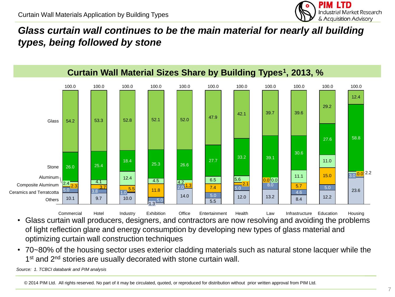

## *Glass curtain wall continues to be the main material for nearly all building types, being followed by stone*



• Glass curtain wall producers, designers, and contractors are now resolving and avoiding the problems of light reflection glare and energy consumption by developing new types of glass material and optimizing curtain wall construction techniques Housing **Education** Infrastructure Law Health Entertainment **Office** Exhibition Hotel Commercial Hotel Industry

• 70~80% of the housing sector uses exterior cladding materials such as natural stone lacquer while the 1<sup>st</sup> and 2<sup>nd</sup> stories are usually decorated with stone curtain wall.

*Source: 1. TCBCI databank and PIM analysis*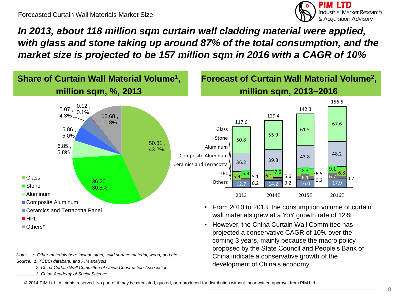

*In 2013, about 118 million sqm curtain wall cladding material were applied, with glass and stone taking up around 87% of the total consumption, and the market size is projected to be 157 million sqm in 2016 with a CAGR of 10%*



China indicate a conservative growth of the

development of China's economy

*Note: \* Other materials here include steel, solid surface material, wood, and etc.*

*Source: 1. TCBCI databank and PIM analysis*

 *2. China Curtain Wall Committee of China Construction Association 3. China Academy of Social Science*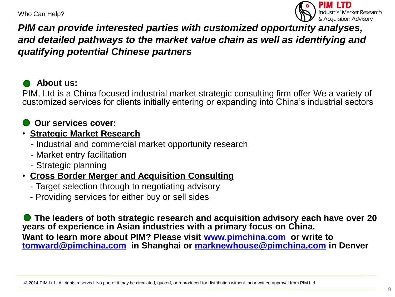Who Can Help?



#### *PIM can provide interested parties with customized opportunity analyses, and detailed pathways to the market value chain as well as identifying and qualifying potential Chinese partners*

#### **About us:**

PIM, Ltd is a China focused industrial market strategic consulting firm offer We a variety of customized services for clients initially entering or expanding into China's industrial sectors

#### **Our services cover:**

#### • **Strategic Market Research**

- Industrial and commercial market opportunity research
- Market entry facilitation
- Strategic planning

#### • **Cross Border Merger and Acquisition Consulting**

- Target selection through to negotiating advisory
- Providing services for either buy or sell sides

 **The leaders of both strategic research and acquisition advisory each have over 20 years of experience in Asian industries with a primary focus on China. Want to learn more about PIM? Please visit [www.pimchina.com](http://www.pimchina.com/) or write to [tomward@pimchina.com](mailto:tomward@pimchina.com) in Shanghai or [marknewhouse@pimchina.com](mailto:marknewhouse@pimchina.com) in Denver**